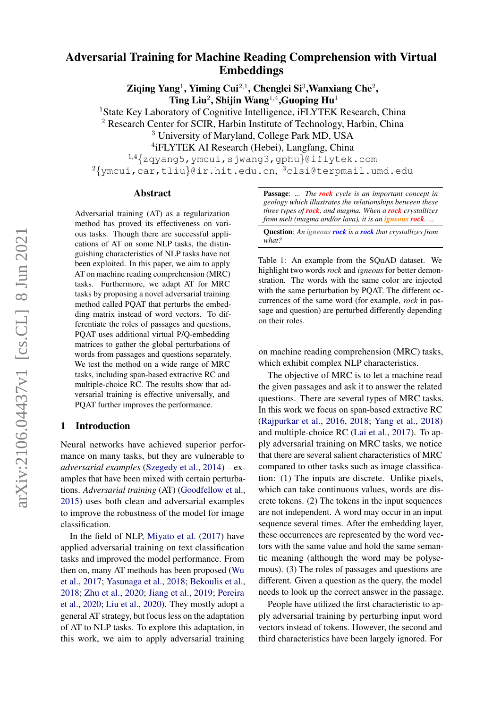# Adversarial Training for Machine Reading Comprehension with Virtual Embeddings

Ziqing Yang<sup>1</sup>, Yiming Cui<sup>2,1</sup>, Chenglei Si<sup>3</sup>, Wanxiang Che<sup>2</sup>, Ting Liu<sup>2</sup>, Shijin Wang<sup>1,4</sup>, Guoping Hu<sup>1</sup>

<sup>1</sup>State Key Laboratory of Cognitive Intelligence, iFLYTEK Research, China

<sup>2</sup> Research Center for SCIR, Harbin Institute of Technology, Harbin, China

<sup>3</sup> University of Maryland, College Park MD, USA

4 iFLYTEK AI Research (Hebei), Langfang, China

<sup>1</sup>,<sup>4</sup>{zqyang5,ymcui,sjwang3,gphu}@iflytek.com

 $^{2}\{$ ymcui,car,tliu $\}$ @ir.hit.edu.cn, $^{3}$ clsi@terpmail.umd.edu

## Abstract

Adversarial training (AT) as a regularization method has proved its effectiveness on various tasks. Though there are successful applications of AT on some NLP tasks, the distinguishing characteristics of NLP tasks have not been exploited. In this paper, we aim to apply AT on machine reading comprehension (MRC) tasks. Furthermore, we adapt AT for MRC tasks by proposing a novel adversarial training method called PQAT that perturbs the embedding matrix instead of word vectors. To differentiate the roles of passages and questions, PQAT uses additional virtual P/Q-embedding matrices to gather the global perturbations of words from passages and questions separately. We test the method on a wide range of MRC tasks, including span-based extractive RC and multiple-choice RC. The results show that adversarial training is effective universally, and PQAT further improves the performance.

### 1 Introduction

Neural networks have achieved superior performance on many tasks, but they are vulnerable to *adversarial examples* [\(Szegedy et al.,](#page-5-0) [2014\)](#page-5-0) – examples that have been mixed with certain perturbations. *Adversarial training* (AT) [\(Goodfellow et al.,](#page-4-0) [2015\)](#page-4-0) uses both clean and adversarial examples to improve the robustness of the model for image classification.

In the field of NLP, [Miyato et al.](#page-4-1) [\(2017\)](#page-4-1) have applied adversarial training on text classification tasks and improved the model performance. From then on, many AT methods has been proposed [\(Wu](#page-5-1) [et al.,](#page-5-1) [2017;](#page-5-1) [Yasunaga et al.,](#page-5-2) [2018;](#page-5-2) [Bekoulis et al.,](#page-4-2) [2018;](#page-4-2) [Zhu et al.,](#page-5-3) [2020;](#page-5-3) [Jiang et al.,](#page-4-3) [2019;](#page-4-3) [Pereira](#page-4-4) [et al.,](#page-4-4) [2020;](#page-4-4) [Liu et al.,](#page-4-5) [2020\)](#page-4-5). They mostly adopt a general AT strategy, but focus less on the adaptation of AT to NLP tasks. To explore this adaptation, in this work, we aim to apply adversarial training

<span id="page-0-0"></span>Passage: *... The rock cycle is an important concept in geology which illustrates the relationships between these three types of rock, and magma. When a rock crystallizes from melt (magma and/or lava), it is an igneous rock. ...*

Question: *An igneous rock is a rock that crystallizes from what?*

Table 1: An example from the SQuAD dataset. We highlight two words *rock* and *igneous* for better demonstration. The words with the same color are injected with the same perturbation by PQAT. The different occurrences of the same word (for example, *rock* in passage and question) are perturbed differently depending on their roles.

on machine reading comprehension (MRC) tasks, which exhibit complex NLP characteristics.

The objective of MRC is to let a machine read the given passages and ask it to answer the related questions. There are several types of MRC tasks. In this work we focus on span-based extractive RC [\(Rajpurkar et al.,](#page-5-4) [2016,](#page-5-4) [2018;](#page-5-5) [Yang et al.,](#page-5-6) [2018\)](#page-5-6) and multiple-choice RC [\(Lai et al.,](#page-4-6) [2017\)](#page-4-6). To apply adversarial training on MRC tasks, we notice that there are several salient characteristics of MRC compared to other tasks such as image classification: (1) The inputs are discrete. Unlike pixels, which can take continuous values, words are discrete tokens. (2) The tokens in the input sequences are not independent. A word may occur in an input sequence several times. After the embedding layer, these occurrences are represented by the word vectors with the same value and hold the same semantic meaning (although the word may be polysemous). (3) The roles of passages and questions are different. Given a question as the query, the model needs to look up the correct answer in the passage.

People have utilized the first characteristic to apply adversarial training by perturbing input word vectors instead of tokens. However, the second and third characteristics have been largely ignored. For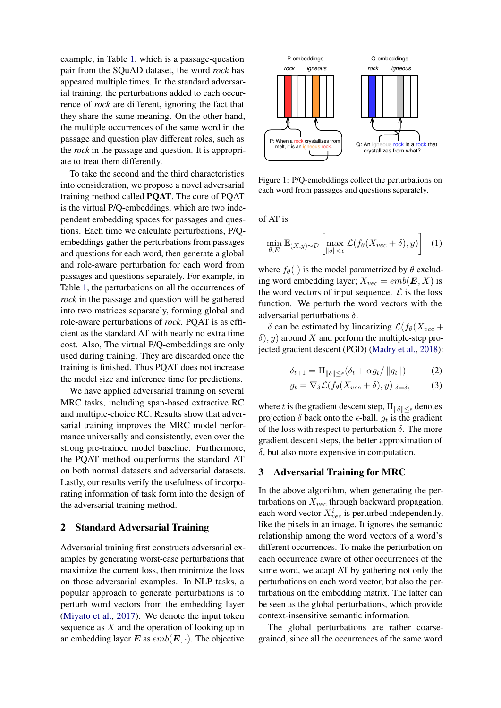example, in Table [1,](#page-0-0) which is a passage-question pair from the SQuAD dataset, the word *rock* has appeared multiple times. In the standard adversarial training, the perturbations added to each occurrence of *rock* are different, ignoring the fact that they share the same meaning. On the other hand, the multiple occurrences of the same word in the passage and question play different roles, such as the *rock* in the passage and question. It is appropriate to treat them differently.

To take the second and the third characteristics into consideration, we propose a novel adversarial training method called PQAT. The core of PQAT is the virtual P/Q-embeddings, which are two independent embedding spaces for passages and questions. Each time we calculate perturbations, P/Qembeddings gather the perturbations from passages and questions for each word, then generate a global and role-aware perturbation for each word from passages and questions separately. For example, in Table [1,](#page-0-0) the perturbations on all the occurrences of *rock* in the passage and question will be gathered into two matrices separately, forming global and role-aware perturbations of *rock*. PQAT is as efficient as the standard AT with nearly no extra time cost. Also, The virtual P/Q-embeddings are only used during training. They are discarded once the training is finished. Thus PQAT does not increase the model size and inference time for predictions.

We have applied adversarial training on several MRC tasks, including span-based extractive RC and multiple-choice RC. Results show that adversarial training improves the MRC model performance universally and consistently, even over the strong pre-trained model baseline. Furthermore, the PQAT method outperforms the standard AT on both normal datasets and adversarial datasets. Lastly, our results verify the usefulness of incorporating information of task form into the design of the adversarial training method.

## 2 Standard Adversarial Training

Adversarial training first constructs adversarial examples by generating worst-case perturbations that maximize the current loss, then minimize the loss on those adversarial examples. In NLP tasks, a popular approach to generate perturbations is to perturb word vectors from the embedding layer [\(Miyato et al.,](#page-4-1) [2017\)](#page-4-1). We denote the input token sequence as  $X$  and the operation of looking up in an embedding layer  $\mathbf E$  as  $emb(\mathbf E, \cdot)$ . The objective

<span id="page-1-0"></span>

Figure 1: P/Q-emebddings collect the perturbations on each word from passages and questions separately.

of AT is

$$
\min_{\theta, E} \mathbb{E}_{(X, y) \sim \mathcal{D}} \left[ \max_{\|\delta\| \le \epsilon} \mathcal{L}(f_{\theta}(X_{vec} + \delta), y) \right] \tag{1}
$$

where  $f_{\theta}(\cdot)$  is the model parametrized by  $\theta$  excluding word embedding layer;  $X_{vec} = emb(E, X)$  is the word vectors of input sequence.  $\mathcal{L}$  is the loss function. We perturb the word vectors with the adversarial perturbations  $\delta$ .

 $\delta$  can be estimated by linearizing  $\mathcal{L}(f_{\theta}(X_{vec} +$  $\delta$ ), y) around X and perform the multiple-step projected gradient descent (PGD) [\(Madry et al.,](#page-4-7) [2018\)](#page-4-7):

$$
\delta_{t+1} = \Pi_{\|\delta\| \le \epsilon} (\delta_t + \alpha g_t / \|g_t\|)
$$
 (2)

$$
g_t = \nabla_{\delta} \mathcal{L}(f_{\theta}(X_{vec} + \delta), y)|_{\delta = \delta_t} \tag{3}
$$

where t is the gradient descent step,  $\Pi_{\|\delta\| \leq \epsilon}$  denotes projection  $\delta$  back onto the  $\epsilon$ -ball.  $g_t$  is the gradient of the loss with respect to perturbation  $\delta$ . The more gradient descent steps, the better approximation of  $\delta$ , but also more expensive in computation.

## 3 Adversarial Training for MRC

In the above algorithm, when generating the perturbations on  $X_{vec}$  through backward propagation, each word vector  $X_{vec}^i$  is perturbed independently, like the pixels in an image. It ignores the semantic relationship among the word vectors of a word's different occurrences. To make the perturbation on each occurrence aware of other occurrences of the same word, we adapt AT by gathering not only the perturbations on each word vector, but also the perturbations on the embedding matrix. The latter can be seen as the global perturbations, which provide context-insensitive semantic information.

The global perturbations are rather coarsegrained, since all the occurrences of the same word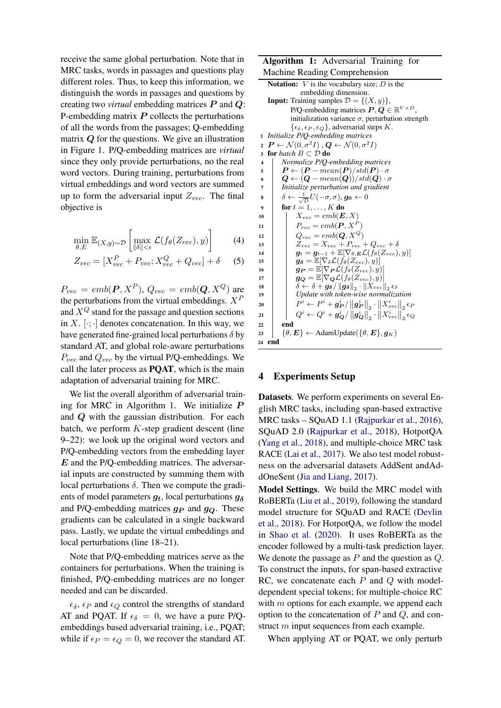receive the same global perturbation. Note that in MRC tasks, words in passages and questions play different roles. Thus, to keep this information, we distinguish the words in passages and questions by creating two *virtual* embedding matrices P and Q: P-embedding matrix  $P$  collects the perturbations of all the words from the passages; Q-embedding matrix Q for the questions. We give an illustration in Figure [1.](#page-1-0) P/Q-embedding matrices are *virtual* since they only provide perturbations, no the real word vectors. During training, perturbations from virtual embeddings and word vectors are summed up to form the adversarial input  $Z_{vec}$ . The final objective is

$$
\min_{\theta, E} \mathbb{E}_{(X, y) \sim \mathcal{D}} \left[ \max_{\|\delta\| < \epsilon} \mathcal{L}(f_{\theta}(Z_{vec}), y) \right] \tag{4}
$$

$$
Z_{vec} = [X_{vec}^P + P_{vec}; X_{vec}^Q + Q_{vec}] + \delta \qquad (5)
$$

 $P_{vec} = emb(\boldsymbol{P}, X^P), Q_{vec} = emb(\boldsymbol{Q}, X^Q)$  are the perturbations from the virtual embeddings.  $X^P$ and  $X^Q$  stand for the passage and question sections in X.  $[\cdot; \cdot]$  denotes concatenation. In this way, we have generated fine-grained local perturbations  $\delta$  by standard AT, and global role-aware perturbations  $P_{vec}$  and  $Q_{vec}$  by the virtual P/Q-embeddings. We call the later process as PQAT, which is the main adaptation of adversarial training for MRC.

We list the overall algorithm of adversarial train-ing for MRC in Algorithm [1.](#page-2-0) We initialize  $P$ and Q with the gaussian distribution. For each batch, we perform  $K$ -step gradient descent (line 9–22): we look up the original word vectors and P/Q-embedding vectors from the embedding layer  $E$  and the P/Q-embedding matrices. The adversarial inputs are constructed by summing them with local perturbations  $\delta$ . Then we compute the gradients of model parameters  $q_t$ , local perturbations  $q_\delta$ and P/Q-embedding matrices  $g_P$  and  $g_Q$ . These gradients can be calculated in a single backward pass. Lastly, we update the virtual embeddings and local perturbations (line 18–21).

Note that P/Q-embedding matrices serve as the containers for perturbations. When the training is finished, P/Q-embedding matrices are no longer needed and can be discarded.

 $\epsilon_{\delta}$ ,  $\epsilon_{P}$  and  $\epsilon_{Q}$  control the strengths of standard AT and PQAT. If  $\epsilon_{\delta} = 0$ , we have a pure P/Qembeddings based adversarial training, i.e., PQAT; while if  $\epsilon_P = \epsilon_Q = 0$ , we recover the standard AT.

#### Algorithm 1: Adversarial Training for Machine Reading Comprehension

<span id="page-2-0"></span>

| <b>Machine Keauing Comprenension</b>                                                                                                                       |
|------------------------------------------------------------------------------------------------------------------------------------------------------------|
| <b>Notation:</b> $V$ is the vocabulary size; $D$ is the                                                                                                    |
| embedding dimension.                                                                                                                                       |
| <b>Input:</b> Training samples $\mathcal{D} = \{(X, y)\}\,$ ,                                                                                              |
| P/Q-embedding matrices $P, Q \in \mathbb{R}^{V \times D}$ ,                                                                                                |
| initialization variance $\sigma$ , perturbation strength                                                                                                   |
| $\{\epsilon_{\delta}, \epsilon_{P}, \epsilon_{Q}\}\$ , adversarial steps K.                                                                                |
| Initialize P/Q-embedding matrices<br>$\mathbf{1}$                                                                                                          |
| $\boldsymbol{P} \leftarrow \mathcal{N}(0, \sigma^2 I)$ , $\boldsymbol{Q} \leftarrow \mathcal{N}(0, \sigma^2 I)$<br>$\overline{2}$                          |
| for batch $B \subset \mathcal{D}$ do<br>$\overline{\mathbf{3}}$                                                                                            |
| Normalize P/Q-embedding matrices<br>$\overline{\mathbf{4}}$                                                                                                |
| $\boldsymbol{P} \leftarrow (\boldsymbol{P} - mean(\boldsymbol{P})/std(\boldsymbol{P}) \cdot \sigma)$<br>5                                                  |
| $\bm{Q} \leftarrow (\bm{Q} - mean(\bm{Q})) / std(\bm{Q}) \cdot \sigma$<br>6                                                                                |
| Initialize perturbation and gradient<br>7                                                                                                                  |
| $\delta \leftarrow \frac{1}{\sqrt{D}}U(-\sigma,\sigma),\,g_0 \leftarrow 0$<br>8                                                                            |
| for $t = 1, \ldots, K$ do<br>9                                                                                                                             |
| $X_{vec} = emb(E, X)$<br>10                                                                                                                                |
| $P_{vec} = emb(P, X^P)$<br>11                                                                                                                              |
| $Q_{vec} = emb(Q, X^Q)$<br>12                                                                                                                              |
| $Z_{vec} = X_{vec} + P_{vec} + Q_{vec} + \delta$<br>13                                                                                                     |
| $\boldsymbol{g}_t = \boldsymbol{g}_{t-1} + \mathbb{E}[\nabla_{\theta,\boldsymbol{E}}\mathcal{L}(f_{\theta}(Z_{vec}),y)]$<br>14                             |
| $g_{\delta} = \mathbb{E}[\nabla_{\delta} \mathcal{L}(f_{\theta}(Z_{vec}), y)]$<br>15                                                                       |
| $\bm{g_P} = \mathbb{E}[\nabla_{\bm{P}} \mathcal{L}(f_\theta(Z_{vec}), y)]$<br>16                                                                           |
| $g_{\boldsymbol{Q}} = \mathbb{E}[\nabla_{\boldsymbol{Q}} \mathcal{L}(f_{\theta}(Z_{vec}), y)]$<br>17                                                       |
| $\delta \leftarrow \delta + \boldsymbol{g_{\delta}} / \left\  \boldsymbol{g_{\delta}} \right\ _2 \cdot \left\  X_{vec} \right\ _2 \epsilon_{\delta}$<br>18 |
| Update with token-wise normalization<br>19                                                                                                                 |
| $P^i \leftarrow P^i + \boldsymbol{g_P^i}/\left\  \boldsymbol{g_P^i} \right\ _{2} \cdot \left\  X^i_{vec} \right\ _{2} \epsilon_P$<br>20                    |
| $Q^i \leftarrow Q^i + \boldsymbol{g_Q^i} / \left\  \boldsymbol{g_Q^i} \right\ _2 \cdot \left\  X^i_{vec} \right\ _2 \epsilon_Q$<br>21                      |
| end<br>22                                                                                                                                                  |
| $\{\theta, E\} \leftarrow \text{AdamUpdate}(\{\theta, E\}, g_K)$<br>23                                                                                     |
| end<br>24                                                                                                                                                  |

#### 4 Experiments Setup

Datasets. We perform experiments on several English MRC tasks, including span-based extractive MRC tasks – SQuAD 1.1 [\(Rajpurkar et al.,](#page-5-4) [2016\)](#page-5-4), SQuAD 2.0 [\(Rajpurkar et al.,](#page-5-5) [2018\)](#page-5-5), HotpotQA [\(Yang et al.,](#page-5-6) [2018\)](#page-5-6), and multiple-choice MRC task RACE [\(Lai et al.,](#page-4-6) [2017\)](#page-4-6). We also test model robustness on the adversarial datasets AddSent andAddOneSent [\(Jia and Liang,](#page-4-8) [2017\)](#page-4-8).

Model Settings. We build the MRC model with RoBERTa [\(Liu et al.,](#page-4-9) [2019\)](#page-4-9), following the standard model structure for SQuAD and RACE [\(Devlin](#page-4-10) [et al.,](#page-4-10) [2018\)](#page-4-10). For HotpotQA, we follow the model in [Shao et al.](#page-5-7) [\(2020\)](#page-5-7). It uses RoBERTa as the encoder followed by a multi-task prediction layer. We denote the passage as  $P$  and the question as  $Q$ . To construct the inputs, for span-based extractive RC, we concatenate each  $P$  and  $Q$  with modeldependent special tokens; for multiple-choice RC with  $m$  options for each example, we append each option to the concatenation of  $P$  and  $Q$ , and construct m input sequences from each example.

When applying AT or PQAT, we only perturb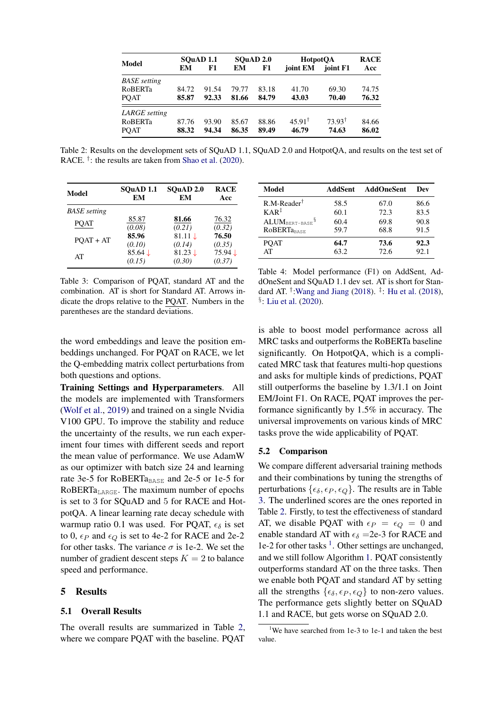<span id="page-3-0"></span>

| Model               | SOuAD <sub>1.1</sub> |       | SOuAD 2.0 |       | <b>HotpotOA</b>   |                   | <b>RACE</b> |
|---------------------|----------------------|-------|-----------|-------|-------------------|-------------------|-------------|
|                     | EM                   | F1    | EМ        | F1    | joint EM          | joint F1          | Acc         |
| <b>BASE</b> setting |                      |       |           |       |                   |                   |             |
| <b>RoBERTa</b>      | 84.72                | 91.54 | 79.77     | 83.18 | 41.70             | 69.30             | 74.75       |
| <b>POAT</b>         | 85.87                | 92.33 | 81.66     | 84.79 | 43.03             | 70.40             | 76.32       |
| LARGE setting       |                      |       |           |       |                   |                   |             |
| <b>RoBERTa</b>      | 87.76                | 93.90 | 85.67     | 88.86 | $45.91^{\dagger}$ | $73.93^{\dagger}$ | 84.66       |
| <b>POAT</b>         | 88.32                | 94.34 | 86.35     | 89.49 | 46.79             | 74.63             | 86.02       |

Table 2: Results on the development sets of SQuAD 1.1, SQuAD 2.0 and HotpotQA, and results on the test set of RACE.<sup>†</sup>: the results are taken from [Shao et al.](#page-5-7) [\(2020\)](#page-5-7).

<span id="page-3-1"></span>

| Model               | SOuAD <sub>1.1</sub> | SOuAD <sub>2.0</sub> | <b>RACE</b> |
|---------------------|----------------------|----------------------|-------------|
|                     | EМ                   | EM                   | Acc         |
| <b>BASE</b> setting |                      |                      |             |
| <b>POAT</b>         | 85.87                | 81.66                | 76.32       |
|                     | (0.08)               | (0.21)               | (0.32)      |
| $POAT + AT$         | 85.96                | $81.11 \downarrow$   | 76.50       |
|                     | (0.10)               | (0.14)               | (0.35)      |
| AT                  | $85.64 \downarrow$   | $81.23 \downarrow$   | 75.94↓      |
|                     | (0.15)               | (0.30)               | (0.37)      |

Table 3: Comparison of PQAT, standard AT and the combination. AT is short for Standard AT. Arrows indicate the drops relative to the PQAT. Numbers in the parentheses are the standard deviations.

<span id="page-3-3"></span>

| Model                           | AddSent | <b>AddOneSent</b> | Dev  |
|---------------------------------|---------|-------------------|------|
| $R.M\text{-}Reader^{\dagger}$   | 58.5    | 67.0              | 86.6 |
| $KAR^{\ddagger}$                | 60.1    | 72.3              | 83.5 |
| $ALUM_{BERT-BASE}$ <sup>§</sup> | 60.4    | 69.8              | 90.8 |
| <b>ROBERTaBASE</b>              | 59.7    | 68.8              | 91.5 |
| <b>POAT</b>                     | 64.7    | 73.6              | 92.3 |
| AT                              | 63.2    | 72.6              | 92.1 |

Table 4: Model performance (F1) on AddSent, AddOneSent and SQuAD 1.1 dev set. AT is short for Standard AT.  $^{\dagger}$ : Wang and Jiang [\(2018\)](#page-4-11).  $^{\ddagger}$ : [Hu et al.](#page-4-11) (2018), § : [Liu et al.](#page-4-5) [\(2020\)](#page-4-5).

the word embeddings and leave the position embeddings unchanged. For PQAT on RACE, we let the Q-embedding matrix collect perturbations from both questions and options.

Training Settings and Hyperparameters. All the models are implemented with Transformers [\(Wolf et al.,](#page-5-8) [2019\)](#page-5-8) and trained on a single Nvidia V100 GPU. To improve the stability and reduce the uncertainty of the results, we run each experiment four times with different seeds and report the mean value of performance. We use AdamW as our optimizer with batch size 24 and learning rate 3e-5 for RoBERTa<sub>BASE</sub> and 2e-5 or 1e-5 for RoBERT $a_{\text{LARGE}}$ . The maximum number of epochs is set to 3 for SQuAD and 5 for RACE and HotpotQA. A linear learning rate decay schedule with warmup ratio 0.1 was used. For PQAT,  $\epsilon_{\delta}$  is set to 0,  $\epsilon_P$  and  $\epsilon_Q$  is set to 4e-2 for RACE and 2e-2 for other tasks. The variance  $\sigma$  is 1e-2. We set the number of gradient descent steps  $K = 2$  to balance speed and performance.

## 5 Results

#### 5.1 Overall Results

The overall results are summarized in Table [2,](#page-3-0) where we compare PQAT with the baseline. PQAT

is able to boost model performance across all MRC tasks and outperforms the RoBERTa baseline significantly. On HotpotQA, which is a complicated MRC task that features multi-hop questions and asks for multiple kinds of predictions, PQAT still outperforms the baseline by 1.3/1.1 on Joint EM/Joint F1. On RACE, PQAT improves the performance significantly by 1.5% in accuracy. The universal improvements on various kinds of MRC tasks prove the wide applicability of PQAT.

#### 5.2 Comparison

We compare different adversarial training methods and their combinations by tuning the strengths of perturbations  $\{\epsilon_{\delta}, \epsilon_{P}, \epsilon_{Q}\}.$  The results are in Table [3.](#page-3-1) The underlined scores are the ones reported in Table [2.](#page-3-0) Firstly, to test the effectiveness of standard AT, we disable PQAT with  $\epsilon_P = \epsilon_Q = 0$  and enable standard AT with  $\epsilon_{\delta}$  =2e-3 for RACE and 1e-2 for other tasks [1](#page-3-2) . Other settings are unchanged, and we still follow Algorithm [1.](#page-2-0) PQAT consistently outperforms standard AT on the three tasks. Then we enable both PQAT and standard AT by setting all the strengths  $\{\epsilon_{\delta}, \epsilon_{P}, \epsilon_{Q}\}$  to non-zero values. The performance gets slightly better on SQuAD 1.1 and RACE, but gets worse on SQuAD 2.0.

<span id="page-3-2"></span><sup>&</sup>lt;sup>1</sup>We have searched from 1e-3 to 1e-1 and taken the best value.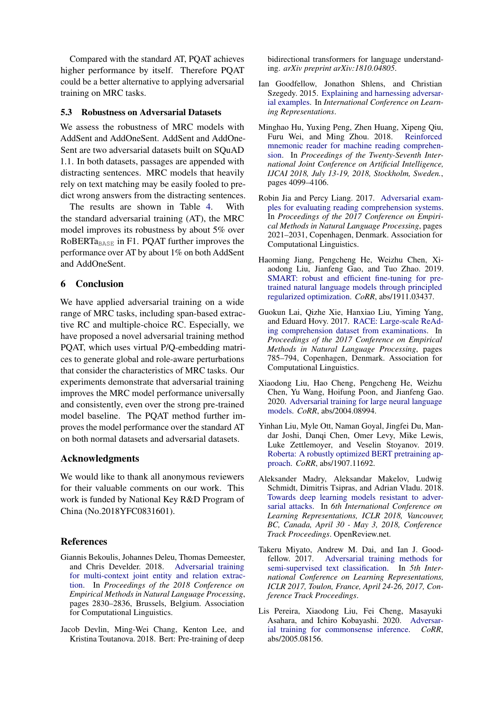Compared with the standard AT, PQAT achieves higher performance by itself. Therefore PQAT could be a better alternative to applying adversarial training on MRC tasks.

#### 5.3 Robustness on Adversarial Datasets

We assess the robustness of MRC models with AddSent and AddOneSent. AddSent and AddOne-Sent are two adversarial datasets built on SQuAD 1.1. In both datasets, passages are appended with distracting sentences. MRC models that heavily rely on text matching may be easily fooled to predict wrong answers from the distracting sentences.

The results are shown in Table [4.](#page-3-3) With the standard adversarial training (AT), the MRC model improves its robustness by about 5% over RoBERT $a_{\text{BASE}}$  in F1. PQAT further improves the performance over AT by about 1% on both AddSent and AddOneSent.

## 6 Conclusion

We have applied adversarial training on a wide range of MRC tasks, including span-based extractive RC and multiple-choice RC. Especially, we have proposed a novel adversarial training method PQAT, which uses virtual P/Q-embedding matrices to generate global and role-aware perturbations that consider the characteristics of MRC tasks. Our experiments demonstrate that adversarial training improves the MRC model performance universally and consistently, even over the strong pre-trained model baseline. The PQAT method further improves the model performance over the standard AT on both normal datasets and adversarial datasets.

## Acknowledgments

We would like to thank all anonymous reviewers for their valuable comments on our work. This work is funded by National Key R&D Program of China (No.2018YFC0831601).

## **References**

- <span id="page-4-2"></span>Giannis Bekoulis, Johannes Deleu, Thomas Demeester, and Chris Develder. 2018. [Adversarial training](https://www.aclweb.org/anthology/D18-1307) [for multi-context joint entity and relation extrac](https://www.aclweb.org/anthology/D18-1307)[tion.](https://www.aclweb.org/anthology/D18-1307) In *Proceedings of the 2018 Conference on Empirical Methods in Natural Language Processing*, pages 2830–2836, Brussels, Belgium. Association for Computational Linguistics.
- <span id="page-4-10"></span>Jacob Devlin, Ming-Wei Chang, Kenton Lee, and Kristina Toutanova. 2018. Bert: Pre-training of deep

bidirectional transformers for language understanding. *arXiv preprint arXiv:1810.04805*.

- <span id="page-4-0"></span>Ian Goodfellow, Jonathon Shlens, and Christian Szegedy. 2015. [Explaining and harnessing adversar](http://arxiv.org/abs/1412.6572)[ial examples.](http://arxiv.org/abs/1412.6572) In *International Conference on Learning Representations*.
- <span id="page-4-11"></span>Minghao Hu, Yuxing Peng, Zhen Huang, Xipeng Qiu, Furu Wei, and Ming Zhou. 2018. [Reinforced](https://doi.org/10.24963/ijcai.2018/570) [mnemonic reader for machine reading comprehen](https://doi.org/10.24963/ijcai.2018/570)[sion.](https://doi.org/10.24963/ijcai.2018/570) In *Proceedings of the Twenty-Seventh International Joint Conference on Artificial Intelligence, IJCAI 2018, July 13-19, 2018, Stockholm, Sweden.*, pages 4099–4106.
- <span id="page-4-8"></span>Robin Jia and Percy Liang. 2017. [Adversarial exam](https://doi.org/10.18653/v1/D17-1215)[ples for evaluating reading comprehension systems.](https://doi.org/10.18653/v1/D17-1215) In *Proceedings of the 2017 Conference on Empirical Methods in Natural Language Processing*, pages 2021–2031, Copenhagen, Denmark. Association for Computational Linguistics.
- <span id="page-4-3"></span>Haoming Jiang, Pengcheng He, Weizhu Chen, Xiaodong Liu, Jianfeng Gao, and Tuo Zhao. 2019. [SMART: robust and efficient fine-tuning for pre](http://arxiv.org/abs/1911.03437)[trained natural language models through principled](http://arxiv.org/abs/1911.03437) [regularized optimization.](http://arxiv.org/abs/1911.03437) *CoRR*, abs/1911.03437.
- <span id="page-4-6"></span>Guokun Lai, Qizhe Xie, Hanxiao Liu, Yiming Yang, and Eduard Hovy. 2017. [RACE: Large-scale ReAd](https://doi.org/10.18653/v1/D17-1082)[ing comprehension dataset from examinations.](https://doi.org/10.18653/v1/D17-1082) In *Proceedings of the 2017 Conference on Empirical Methods in Natural Language Processing*, pages 785–794, Copenhagen, Denmark. Association for Computational Linguistics.
- <span id="page-4-5"></span>Xiaodong Liu, Hao Cheng, Pengcheng He, Weizhu Chen, Yu Wang, Hoifung Poon, and Jianfeng Gao. 2020. [Adversarial training for large neural language](http://arxiv.org/abs/2004.08994) [models.](http://arxiv.org/abs/2004.08994) *CoRR*, abs/2004.08994.
- <span id="page-4-9"></span>Yinhan Liu, Myle Ott, Naman Goyal, Jingfei Du, Mandar Joshi, Danqi Chen, Omer Levy, Mike Lewis, Luke Zettlemoyer, and Veselin Stoyanov. 2019. [Roberta: A robustly optimized BERT pretraining ap](http://arxiv.org/abs/1907.11692)[proach.](http://arxiv.org/abs/1907.11692) *CoRR*, abs/1907.11692.
- <span id="page-4-7"></span>Aleksander Madry, Aleksandar Makelov, Ludwig Schmidt, Dimitris Tsipras, and Adrian Vladu. 2018. [Towards deep learning models resistant to adver](https://openreview.net/forum?id=rJzIBfZAb)[sarial attacks.](https://openreview.net/forum?id=rJzIBfZAb) In *6th International Conference on Learning Representations, ICLR 2018, Vancouver, BC, Canada, April 30 - May 3, 2018, Conference Track Proceedings*. OpenReview.net.
- <span id="page-4-1"></span>Takeru Miyato, Andrew M. Dai, and Ian J. Goodfellow. 2017. [Adversarial training methods for](https://openreview.net/forum?id=r1X3g2_xl) [semi-supervised text classification.](https://openreview.net/forum?id=r1X3g2_xl) In *5th International Conference on Learning Representations, ICLR 2017, Toulon, France, April 24-26, 2017, Conference Track Proceedings*.
- <span id="page-4-4"></span>Lis Pereira, Xiaodong Liu, Fei Cheng, Masayuki Asahara, and Ichiro Kobayashi. 2020. [Adversar](http://arxiv.org/abs/2005.08156)[ial training for commonsense inference.](http://arxiv.org/abs/2005.08156) *CoRR*, abs/2005.08156.